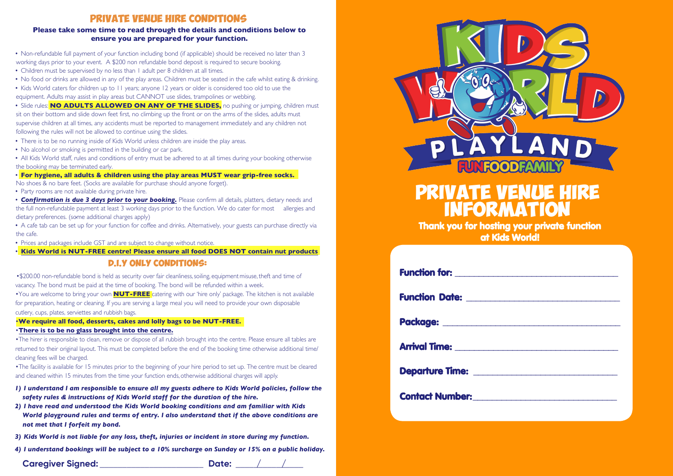### **Private Venue Hire Conditions**

### **Please take some time to read through the details and conditions below to ensure you are prepared for your function.**

- Non-refundable full payment of your function including bond (if applicable) should be received no later than 3 working days prior to your event. A \$200 non refundable bond deposit is required to secure booking.
- Children must be supervised by no less than 1 adult per 8 children at all times.
- No food or drinks are allowed in any of the play areas. Children must be seated in the cafe whilst eating & drinking.

• Kids World caters for children up to 11 years; anyone 12 years or older is considered too old to use the equipment. Adults may assist in play areas but CANNOT use slides, trampolines or webbing.

• Slide rules: **NO ADULTS ALLOWED ON ANY OF THE SLIDES,** no pushing or jumping, children must sit on their bottom and slide down feet first, no climbing up the front or on the arms of the slides, adults must supervise children at all times, any accidents must be reported to management immediately and any children not following the rules will not be allowed to continue using the slides.

- There is to be no running inside of Kids World unless children are inside the play areas.
- No alcohol or smoking is permitted in the building or car park.

• All Kids World staff, rules and conditions of entry must be adhered to at all times during your booking otherwise the booking may be terminated early.

• **For hygiene, all adults & children using the play areas MUST wear grip-free socks.**

No shoes & no bare feet. (Socks are available for purchase should anyone forget).

- Party rooms are not available during private hire.
- *Confirmation is due 3 days prior to your booking.* Please confirm all details, platters, dietary needs and the full non-refundable payment at least 3 working days prior to the function. We do cater for most allergies and dietary preferences. (some additional charges apply)
- A cafe tab can be set up for your function for coffee and drinks. Alternatively, your guests can purchase directly via the cafe.
- Prices and packages include GST and are subject to change without notice.

• **Kids World is NUT-FREE centre! Please ensure all food DOES NOT contain nut products**

### **D.I.Y Only CONDITIONS:**

•\$200.00 non-refundable bond is held as security over fair cleanliness, soiling, equipment misuse, theft and time of vacancy. The bond must be paid at the time of booking. The bond will be refunded within a week.

•You are welcome to bring your own **NUT-FREE** catering with our 'hire only' package. The kitchen is not available for preparation, heating or cleaning. If you are serving a large meal you will need to provide your own disposable cutlery, cups, plates, serviettes and rubbish bags.

### •**We require all food, desserts, cakes and lolly bags to be NUT-FREE.**

#### •**There is to be no glass brought into the centre.**

•The hirer is responsible to clean, remove or dispose of all rubbish brought into the centre. Please ensure all tables are returned to their original layout. This must be completed before the end of the booking time otherwise additional time/ cleaning fees will be charged.

•The facility is available for 15 minutes prior to the beginning of your hire period to set up. The centre must be cleared and cleaned within 15 minutes from the time your function ends, otherwise additional charges will apply.

- *1) I understand I am responsible to ensure all my guests adhere to Kids World policies, follow the safety rules & instructions of Kids World staff for the duration of the hire.*
- *2) I have read and understood the Kids World booking conditions and am familiar with Kids World playground rules and terms of entry. I also understand that if the above conditions are not met that I forfeit my bond.*
- *3) Kids World is not liable for any loss, theft, injuries or incident in store during my function.*

*4) I understand bookings will be subject to a 10% surcharge on Sunday or 15% on a public holiday.*

## **Caregiver Signed:** \_\_\_\_\_\_\_\_\_\_\_\_\_\_\_\_\_\_\_\_\_\_\_ **Date:** \_\_\_\_\_\_\_\_\_\_\_\_\_\_\_ **/ /**



# **Private Venue Hire Information**

Thank you for hosting your private function at Kids World!

| <b>Arrival Time:</b> <u>____________________________</u>                                                                                                                                                                             |
|--------------------------------------------------------------------------------------------------------------------------------------------------------------------------------------------------------------------------------------|
|                                                                                                                                                                                                                                      |
| Contact Number: <u>www.communications.com and the set of the set of the set of the set of the set of the set of the set of the set of the set of the set of the set of the set of the set of the set of the set of the set of th</u> |